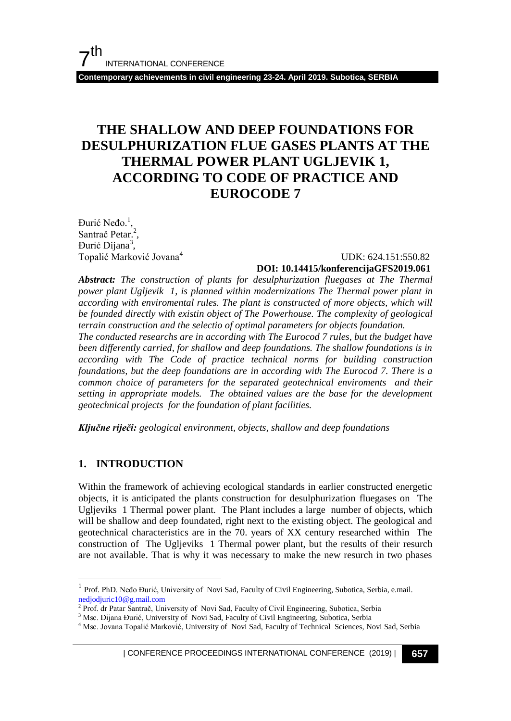**Contemporary achievements in civil engineering 23-24. April 2019. Subotica, SERBIA**

## **THE SHALLOW AND DEEP FOUNDATIONS FOR DESULPHURIZATION FLUE GASES PLANTS AT THE THERMAL POWER PLANT UGLJEVIK 1, ACCORDING TO CODE OF PRACTICE AND EUROCODE 7**

Đurić Neđo.<sup>1</sup>, Santrač Petar.<sup>2</sup>, Đurić Dijana<sup>3</sup>, Topalić Marković Jovana<sup>4</sup>

### UDK: 624.151:550.82 **DOI: 10.14415/konferencijaGFS2019.061**

*Abstract: The construction of plants for desulphurization fluegases at The Thermal power plant Ugljevik 1, is planned within modernizations The Thermal power plant in according with enviromental rules. The plant is constructed of more objects, which will be founded directly with existin object of The Powerhouse. The complexity of geological terrain construction and the selectio of optimal parameters for objects foundation. The conducted researchs are in according with The Eurocod 7 rules, but the budget have* 

*been differently carried, for shallow and deep foundations. The shallow foundations is in according with The Code of practice technical norms for building construction foundations, but the deep foundations are in according with The Eurocod 7. There is a common choice of parameters for the separated geotechnical enviroments and their setting in appropriate models. The obtained values are the base for the development geotechnical projects for the foundation of plant facilities.*

*Ključne riječi: geological environment, objects, shallow and deep foundations*

### **1. INTRODUCTION**

 $\overline{\phantom{a}}$ 

Within the framework of achieving ecological standards in earlier constructed energetic objects, it is anticipated the plants construction for desulphurization fluegases on The Ugljeviks 1 Thermal power plant.The Plant includes a large number of objects, which will be shallow and deep foundated, right next to the existing object. The geological and geotechnical characteristics are in the 70. years of XX century researched within The construction of The Ugljeviks 1 Thermal power plant, but the results of their resurch are not available. That is why it was necessary to make the new resurch in two phases

<sup>1</sup> Prof. PhD. Neđo Đurić, University of Novi Sad, Faculty of Civil Engineering, Subotica, Serbia, e.mail. [nedjodjuric10@g.mail.com](mailto:nedjodjuric10@g.mail.com)

<sup>&</sup>lt;sup>2</sup> Prof. dr Patar Santrač, University of Novi Sad, Faculty of Civil Engineering, Subotica, Serbia

<sup>&</sup>lt;sup>3</sup> Msc. Dijana Đurić, University of Novi Sad, Faculty of Civil Engineering, Subotica, Serbia

<sup>&</sup>lt;sup>4</sup> Msc. Jovana Topalić Marković, University of Novi Sad, Faculty of Technical Sciences, Novi Sad, Serbia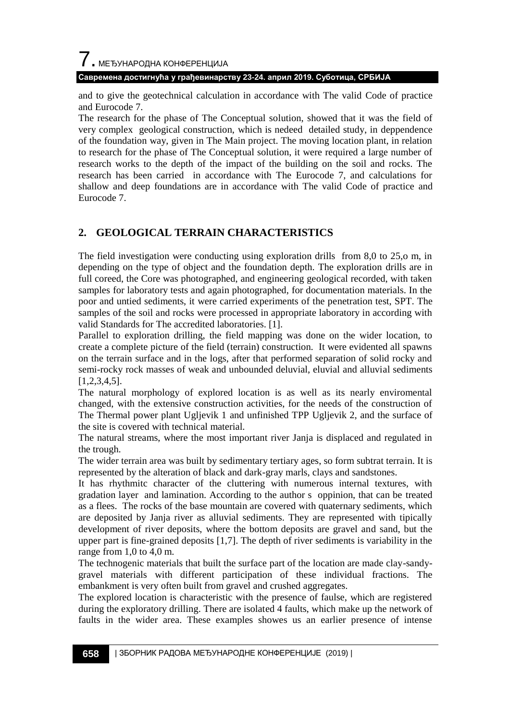## 7. МЕЂУНАРОДНА КОНФЕРЕНЦИЈА **Савремена достигнућа у грађевинарству 23-24. април 2019. Суботица, СРБИЈА**

and to give the geotechnical calculation in accordance with The valid Code of practice and Eurocode 7.

The research for the phase of The Conceptual solution, showed that it was the field of very complex geological construction, which is nedeed detailed study, in deppendence of the foundation way, given in The Main project. The moving location plant, in relation to research for the phase of The Conceptual solution, it were required a large number of research works to the depth of the impact of the building on the soil and rocks. The research has been carried in accordance with The Eurocode 7, and calculations for shallow and deep foundations are in accordance with The valid Code of practice and Eurocode 7.

## **2. GEOLOGICAL TERRAIN CHARACTERISTICS**

The field investigation were conducting using exploration drills from 8,0 to 25,o m, in depending on the type of object and the foundation depth. The exploration drills are in full coreed, the Core was photographed, and engineering geological recorded, with taken samples for laboratory tests and again photographed, for documentation materials. In the poor and untied sediments, it were carried experiments of the penetration test, SPT. The samples of the soil and rocks were processed in appropriate laboratory in according with valid Standards for The accredited laboratories. [1].

Parallel to exploration drilling, the field mapping was done on the wider location, to create a complete picture of the field (terrain) construction. It were evidented all spawns on the terrain surface and in the logs, after that performed separation of solid rocky and semi-rocky rock masses of weak and unbounded deluvial, eluvial and alluvial sediments [1,2,3,4,5].

The natural morphology of explored location is as well as its nearly enviromental changed, with the extensive construction activities, for the needs of the construction of The Thermal power plant Ugljevik 1 and unfinished TPP Ugljevik 2, and the surface of the site is covered with technical material.

The natural streams, where the most important river Janja is displaced and regulated in the trough.

The wider terrain area was built by sedimentary tertiary ages, so form subtrat terrain. It is represented by the alteration of black and dark-gray marls, clays and sandstones.

It has rhythmitc character of the cluttering with numerous internal textures, with gradation layer and lamination. According to the author s oppinion, that can be treated as a flees. The rocks of the base mountain are covered with quaternary sediments, which are deposited by Janja river as alluvial sediments. They are represented with tipically development of river deposits, where the bottom deposits are gravel and sand, but the upper part is fine-grained deposits [1,7]. The depth of river sediments is variability in the range from 1,0 to 4,0 m.

The technogenic materials that built the surface part of the location are made clay-sandygravel materials with different participation of these individual fractions. The embankment is very often built from gravel and crushed aggregates.

The explored location is characteristic with the presence of faulse, which are registered during the exploratory drilling. There are isolated 4 faults, which make up the network of faults in the wider area. These examples showes us an earlier presence of intense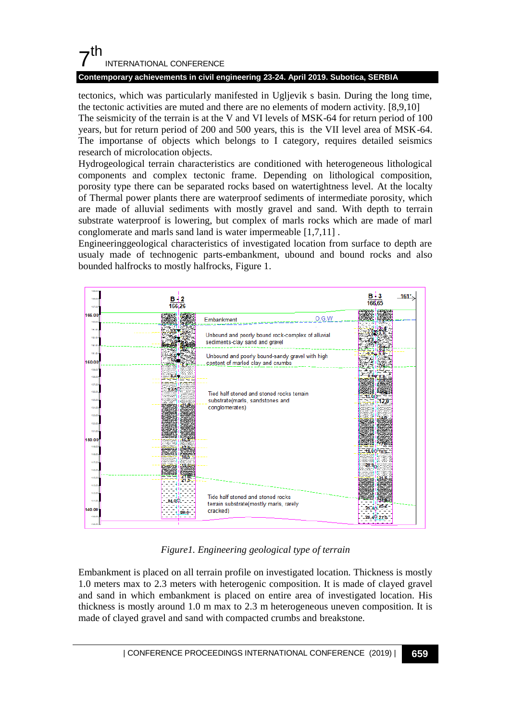### **Contemporary achievements in civil engineering 23-24. April 2019. Subotica, SERBIA**

tectonics, which was particularly manifested in Ugljevik s basin. During the long time, the tectonic activities are muted and there are no elements of modern activity. [8,9,10] The seismicity of the terrain is at the V and VI levels of MSK-64 for return period of 100 years, but for return period of 200 and 500 years, this is the VII level area of MSK-64. The importanse of objects which belongs to I category, requires detailed seismics research of microlocation objects.

Hydrogeological terrain characteristics are conditioned with heterogeneous lithological components and complex tectonic frame. Depending on lithological composition, porosity type there can be separated rocks based on watertightness level. At the localty of Thermal power plants there are waterproof sediments of intermediate porosity, which are made of alluvial sediments with mostly gravel and sand. With depth to terrain substrate waterproof is lowering, but complex of marls rocks which are made of marl conglomerate and marls sand land is water impermeable [1,7,11] .

Engineeringgeological characteristics of investigated location from surface to depth are usualy made of technogenic parts-embankment, ubound and bound rocks and also bounded halfrocks to mostly halfrocks, Figure 1.



*Figure1. Engineering geological type of terrain*

Embankment is placed on all terrain profile on investigated location. Thickness is mostly 1.0 meters max to 2.3 meters with heterogenic composition. It is made of clayed gravel and sand in which embankment is placed on entire area of investigated location. His thickness is mostly around 1.0 m max to 2.3 m heterogeneous uneven composition. It is made of clayed gravel and sand with compacted crumbs and breakstone.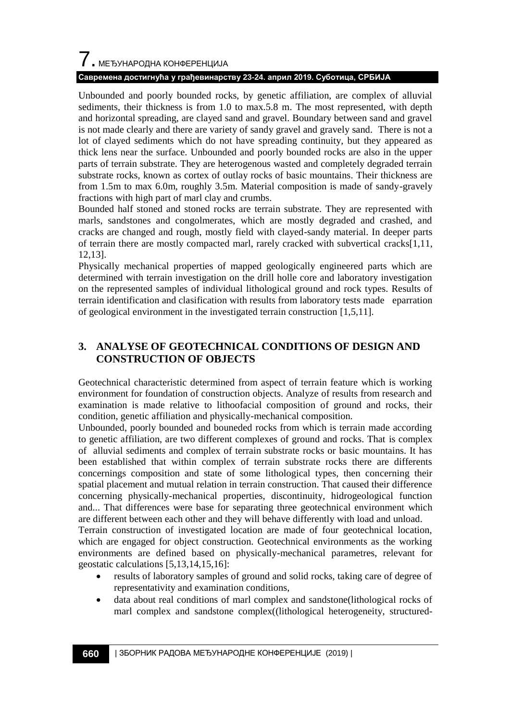## 7. МЕЂУНАРОДНА КОНФЕРЕНЦИЈА

### **Савремена достигнућа у грађевинарству 23-24. април 2019. Суботица, СРБИЈА**

Unbounded and poorly bounded rocks, by genetic affiliation, are complex of alluvial sediments, their thickness is from 1.0 to max.5.8 m. The most represented, with depth and horizontal spreading, are clayed sand and gravel. Boundary between sand and gravel is not made clearly and there are variety of sandy gravel and gravely sand. There is not a lot of clayed sediments which do not have spreading continuity, but they appeared as thick lens near the surface. Unbounded and poorly bounded rocks are also in the upper parts of terrain substrate. They are heterogenous wasted and completely degraded terrain substrate rocks, known as cortex of outlay rocks of basic mountains. Their thickness are from 1.5m to max 6.0m, roughly 3.5m. Material composition is made of sandy-gravely fractions with high part of marl clay and crumbs.

Bounded half stoned and stoned rocks are terrain substrate. They are represented with marls, sandstones and congolmerates, which are mostly degraded and crashed, and cracks are changed and rough, mostly field with clayed-sandy material. In deeper parts of terrain there are mostly compacted marl, rarely cracked with subvertical cracks[1,11, 12,13].

Physically mechanical properties of mapped geologically engineered parts which are determined with terrain investigation on the drill holle core and laboratory investigation on the represented samples of individual lithological ground and rock types. Results of terrain identification and clasification with results from laboratory tests made eparration of geological environment in the investigated terrain construction [1,5,11].

### **3. ANALYSE OF GEOTECHNICAL CONDITIONS OF DESIGN AND CONSTRUCTION OF OBJECTS**

Geotechnical characteristic determined from aspect of terrain feature which is working environment for foundation of construction objects. Analyze of results from research and examination is made relative to lithoofacial composition of ground and rocks, their condition, genetic affiliation and physically-mechanical composition.

Unbounded, poorly bounded and bouneded rocks from which is terrain made according to genetic affiliation, are two different complexes of ground and rocks. That is complex of alluvial sediments and complex of terrain substrate rocks or basic mountains. It has been established that within complex of terrain substrate rocks there are differents concernings composition and state of some lithological types, then concerning their spatial placement and mutual relation in terrain construction. That caused their difference concerning physically-mechanical properties, discontinuity, hidrogeological function and... That differences were base for separating three geotechnical environment which are different between each other and they will behave differently with load and unload.

Terrain construction of investigated location are made of four geotechnical location, which are engaged for object construction. Geotechnical environments as the working environments are defined based on physically-mechanical parametres, relevant for geostatic calculations [5,13,14,15,16]:

- results of laboratory samples of ground and solid rocks, taking care of degree of representativity and examination conditions,
- data about real conditions of marl complex and sandstone(lithological rocks of marl complex and sandstone complex((lithological heterogeneity, structured-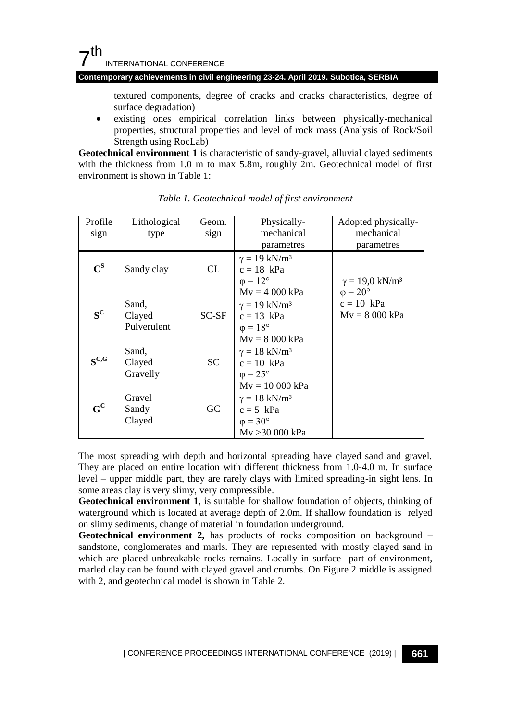### **Contemporary achievements in civil engineering 23-24. April 2019. Subotica, SERBIA**

textured components, degree of cracks and cracks characteristics, degree of surface degradation)

 existing ones empirical correlation links between physically-mechanical properties, structural properties and level of rock mass (Analysis of Rock/Soil Strength using RocLab)

**Geotechnical environment 1** is characteristic of sandy-gravel, alluvial clayed sediments with the thickness from 1.0 m to max 5.8m, roughly 2m. Geotechnical model of first environment is shown in Table 1:

| Profile                   | Lithological                   | Geom.           | Physically-                                                                                   | Adopted physically-             |
|---------------------------|--------------------------------|-----------------|-----------------------------------------------------------------------------------------------|---------------------------------|
| sign                      | type                           | sign            | mechanical                                                                                    | mechanical                      |
|                           |                                |                 | parametres                                                                                    | parametres                      |
| $\mathbf{C}^{\mathbf{S}}$ | Sandy clay                     | CL              | $\gamma = 19$ kN/m <sup>3</sup><br>$c = 18$ kPa<br>$\varphi = 12^{\circ}$                     | $\gamma = 19.0 \text{ kN/m}^3$  |
|                           |                                |                 | $Mv = 4000$ kPa                                                                               | $\varphi = 20^{\circ}$          |
| $S^C$                     | Sand,<br>Clayed<br>Pulverulent | $SC-SF$         | $\gamma = 19$ kN/m <sup>3</sup><br>$c = 13$ kPa<br>$\omega = 18^{\circ}$<br>$Mv = 8000$ kPa   | $c = 10$ kPa<br>$Mv = 8000$ kPa |
| $S^{C,G}$                 | Sand,<br>Clayed<br>Gravelly    | SC              | $\gamma = 18$ kN/m <sup>3</sup><br>$c = 10$ kPa<br>$\varphi = 25^{\circ}$<br>$Mv = 10000$ kPa |                                 |
| $G^C$                     | Gravel<br>Sandy<br>Clayed      | $\overline{GC}$ | $\gamma = 18$ kN/m <sup>3</sup><br>$c = 5$ kPa<br>$\varphi = 30^{\circ}$<br>Mv > 30 000 kPa   |                                 |

*Table 1. Geotechnical model of first environment*

The most spreading with depth and horizontal spreading have clayed sand and gravel. They are placed on entire location with different thickness from 1.0-4.0 m. In surface level – upper middle part, they are rarely clays with limited spreading-in sight lens. In some areas clay is very slimy, very compressible.

**Geotechnical environment 1**, is suitable for shallow foundation of objects, thinking of waterground which is located at average depth of 2.0m. If shallow foundation is relyed on slimy sediments, change of material in foundation underground.

**Geotechnical environment 2,** has products of rocks composition on background – sandstone, conglomerates and marls. They are represented with mostly clayed sand in which are placed unbreakable rocks remains. Locally in surface part of environment, marled clay can be found with clayed gravel and crumbs. On Figure 2 middle is assigned with 2, and geotechnical model is shown in Table 2.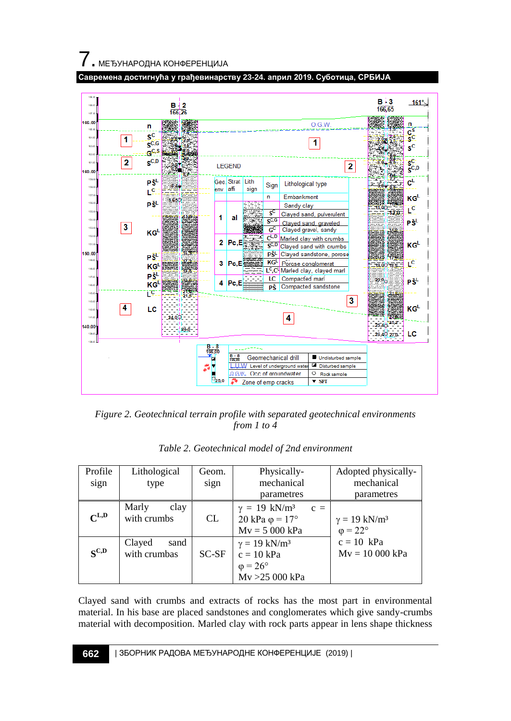7. МЕЂУНАРОДНА КОНФЕРЕНЦИЈА





*Figure 2. Geotechnical terrain profile with separated geotechnical environments from 1 to 4* 

| Profile<br>sign | Lithological<br>type           | Geom.<br>sign | Physically-<br>mechanical                                                                   | Adopted physically-<br>mechanical                         |
|-----------------|--------------------------------|---------------|---------------------------------------------------------------------------------------------|-----------------------------------------------------------|
|                 |                                |               | parametres                                                                                  | parametres                                                |
| $C^{L,D}$       | Marly<br>clay<br>with crumbs   | CL.           | $\gamma = 19$ kN/m <sup>3</sup><br>$c =$<br>20 kPa $\varphi$ = 17°<br>$Mv = 5000$ kPa       | $\gamma = 19$ kN/m <sup>3</sup><br>$\varphi = 22^{\circ}$ |
| $S^{C,D}$       | Clayed<br>sand<br>with crumbas | $SC-SF$       | $\gamma = 19$ kN/m <sup>3</sup><br>$c = 10$ kPa<br>$\varphi = 26^{\circ}$<br>Mv >25 000 kPa | $c = 10$ kPa<br>$Mv = 10000$ kPa                          |

*Table 2. Geotechnical model of 2nd environment*

Clayed sand with crumbs and extracts of rocks has the most part in environmental material. In his base are placed sandstones and conglomerates which give sandy-crumbs material with decomposition. Marled clay with rock parts appear in lens shape thickness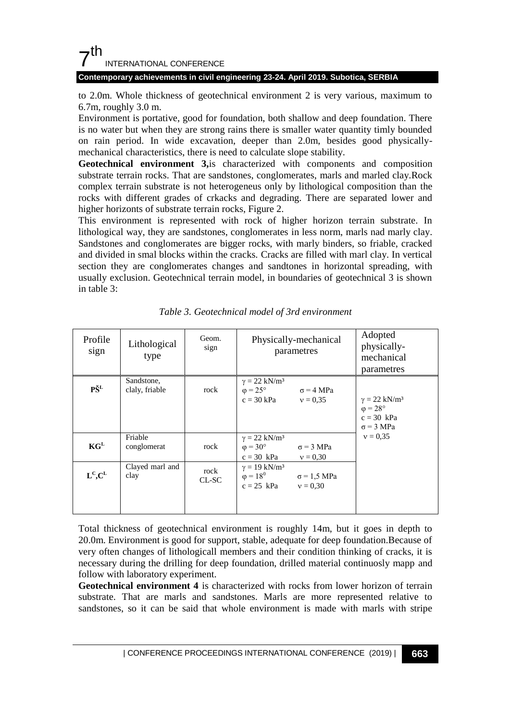### **Contemporary achievements in civil engineering 23-24. April 2019. Subotica, SERBIA**

to 2.0m. Whole thickness of geotechnical environment 2 is very various, maximum to 6.7m, roughly 3.0 m.

Environment is portative, good for foundation, both shallow and deep foundation. There is no water but when they are strong rains there is smaller water quantity timly bounded on rain period. In wide excavation, deeper than 2.0m, besides good physicallymechanical characteristics, there is need to calculate slope stability.

**Geotechnical environment 3,**is characterized with components and composition substrate terrain rocks. That are sandstones, conglomerates, marls and marled clay.Rock complex terrain substrate is not heterogeneus only by lithological composition than the rocks with different grades of crkacks and degrading. There are separated lower and higher horizonts of substrate terrain rocks, Figure 2.

This environment is represented with rock of higher horizon terrain substrate. In lithological way, they are sandstones, conglomerates in less norm, marls nad marly clay. Sandstones and conglomerates are bigger rocks, with marly binders, so friable, cracked and divided in smal blocks within the cracks. Cracks are filled with marl clay. In vertical section they are conglomerates changes and sandtones in horizontal spreading, with usually exclusion. Geotechnical terrain model, in boundaries of geotechnical 3 is shown in table 3:

| Profile<br>sign | Lithological<br>type         | Geom.<br>sign   | Physically-mechanical<br>parametres                                                                         | Adopted<br>physically-<br>mechanical<br>parametres                                            |
|-----------------|------------------------------|-----------------|-------------------------------------------------------------------------------------------------------------|-----------------------------------------------------------------------------------------------|
| PŠ <sup>L</sup> | Sandstone,<br>claly, friable | rock            | $\gamma = 22$ kN/m <sup>3</sup><br>$\varphi = 25^{\circ}$<br>$\sigma$ = 4 MPa<br>$c = 30$ kPa<br>$v = 0.35$ | $\gamma = 22$ kN/m <sup>3</sup><br>$\varphi = 28^{\circ}$<br>$c = 30$ kPa<br>$\sigma$ = 3 MPa |
| $KG^L$          | Friable<br>conglomerat       | rock            | $\gamma = 22$ kN/m <sup>3</sup><br>$\varphi = 30^{\circ}$<br>$\sigma$ = 3 MPa<br>$c = 30$ kPa<br>$v = 0.30$ | $v = 0.35$                                                                                    |
| $L^c.C^L$       | Clayed marl and<br>clay      | rock<br>$CL-SC$ | $\gamma = 19$ kN/m <sup>3</sup><br>$\varphi = 18^{0}$ $\sigma = 1.5$ MPa<br>$c = 25$ kPa<br>$v = 0.30$      |                                                                                               |

*Table 3. Geotechnical model of 3rd environment*

Total thickness of geotechnical environment is roughly 14m, but it goes in depth to 20.0m. Environment is good for support, stable, adequate for deep foundation.Because of very often changes of lithologicall members and their condition thinking of cracks, it is necessary during the drilling for deep foundation, drilled material continuosly mapp and follow with laboratory experiment.

**Geotechnical environment 4** is characterized with rocks from lower horizon of terrain substrate. That are marls and sandstones. Marls are more represented relative to sandstones, so it can be said that whole environment is made with marls with stripe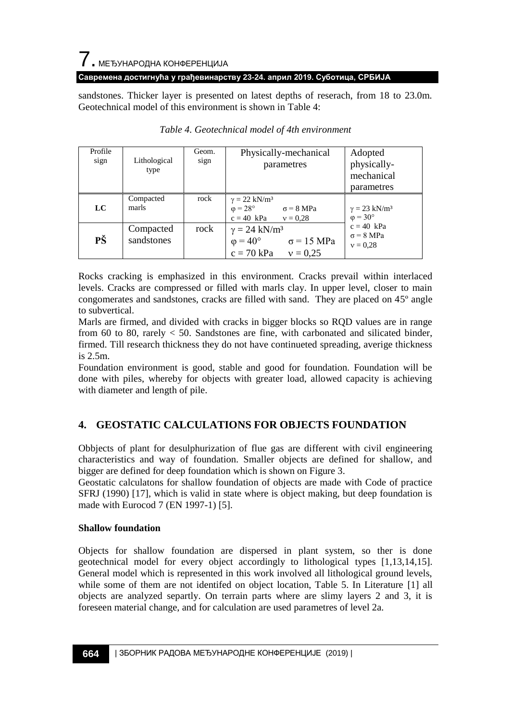## 7. МЕЂУНАРОДНА КОНФЕРЕНЦИЈА

### **Савремена достигнућа у грађевинарству 23-24. април 2019. Суботица, СРБИЈА**

sandstones. Thicker layer is presented on latest depths of reserach, from 18 to 23.0m. Geotechnical model of this environment is shown in Table 4:

| Profile<br>sign | Lithological<br>type    | Geom.<br>sign | Physically-mechanical<br>parametres                                                                          | Adopted<br>physically-<br>mechanical<br>parametres        |
|-----------------|-------------------------|---------------|--------------------------------------------------------------------------------------------------------------|-----------------------------------------------------------|
| LC              | Compacted<br>marls      | rock          | $\gamma = 22$ kN/m <sup>3</sup><br>$\varphi = 28^{\circ}$<br>$\sigma$ = 8 MPa<br>$c = 40$ kPa<br>$v = 0.28$  | $\gamma = 23$ kN/m <sup>3</sup><br>$\varphi = 30^{\circ}$ |
| PŠ              | Compacted<br>sandstones | rock          | $\gamma = 24$ kN/m <sup>3</sup><br>$\varphi = 40^{\circ}$<br>$\sigma$ = 15 MPa<br>$c = 70$ kPa<br>$v = 0.25$ | $c = 40$ kPa<br>$\sigma = 8 \text{ MPa}$<br>$v = 0.28$    |

### *Table 4. Geotechnical model of 4th environment*

Rocks cracking is emphasized in this environment. Cracks prevail within interlaced levels. Cracks are compressed or filled with marls clay. In upper level, closer to main congomerates and sandstones, cracks are filled with sand. They are placed on 45º angle to subvertical.

Marls are firmed, and divided with cracks in bigger blocks so RQD values are in range from 60 to 80, rarely  $\lt$  50. Sandstones are fine, with carbonated and silicated binder, firmed. Till research thickness they do not have continueted spreading, averige thickness is 2.5m.

Foundation environment is good, stable and good for foundation. Foundation will be done with piles, whereby for objects with greater load, allowed capacity is achieving with diameter and length of pile.

## **4. GEOSTATIC CALCULATIONS FOR OBJECTS FOUNDATION**

Obbjects of plant for desulphurization of flue gas are different with civil engineering characteristics and way of foundation. Smaller objects are defined for shallow, and bigger are defined for deep foundation which is shown on Figure 3.

Geostatic calculatons for shallow foundation of objects are made with Code of practice SFRJ (1990) [17], which is valid in state where is object making, but deep foundation is made with Eurocod 7 (EN 1997-1) [5].

### **Shallow foundation**

Objects for shallow foundation are dispersed in plant system, so ther is done geotechnical model for every object accordingly to lithological types [1,13,14,15]. General model which is represented in this work involved all lithological ground levels, while some of them are not identifed on object location, Table 5. In Literature [1] all objects are analyzed separtly. On terrain parts where are slimy layers 2 and 3, it is foreseen material change, and for calculation are used parametres of level 2a.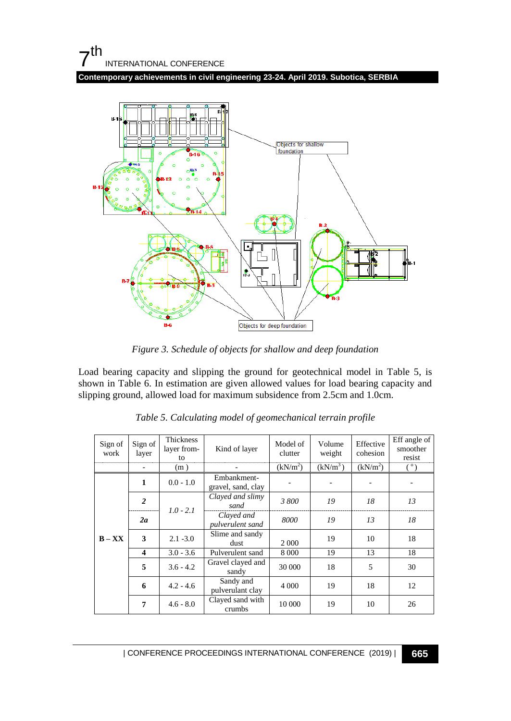**Contemporary achievements in civil engineering 23-24. April 2019. Subotica, SERBIA**



*Figure 3. Schedule of objects for shallow and deep foundation*

Load bearing capacity and slipping the ground for geotechnical model in Table 5, is shown in Table 6. In estimation are given allowed values for load bearing capacity and slipping ground, allowed load for maximum subsidence from 2.5cm and 1.0cm.

| Sign of<br>work | Sign of<br>layer        | <b>Thickness</b><br>layer from-<br>tο | Kind of layer                     | Model of<br>clutter  | Volume<br>weight     | Effective<br>cohesion | Eff angle of<br>smoother<br>resist |
|-----------------|-------------------------|---------------------------------------|-----------------------------------|----------------------|----------------------|-----------------------|------------------------------------|
|                 |                         | (m)                                   |                                   | (kN/m <sup>2</sup> ) | (kN/m <sup>3</sup> ) | (kN/m <sup>2</sup> )  |                                    |
|                 | 1                       | $0.0 - 1.0$                           | Embankment-<br>gravel, sand, clay |                      |                      |                       |                                    |
| $B - XX$        | $\overline{2}$          | $1.0 - 2.1$                           | Clayed and slimy<br>sand          | 3800                 | 19                   | 18                    | 13                                 |
|                 | 2a                      |                                       | Clayed and<br>pulverulent sand    | 8000                 | 19                   | 13                    | 18                                 |
|                 | 3                       | $2.1 - 3.0$                           | Slime and sandy<br>dust           | 2 0 0 0              | 19                   | 10                    | 18                                 |
|                 | $\overline{\mathbf{4}}$ | $3.0 - 3.6$                           | Pulverulent sand                  | 8 0 0 0              | 19                   | 13                    | 18                                 |
|                 | 5                       | $3.6 - 4.2$                           | Gravel clayed and<br>sandy        | 30 000               | 18                   | 5                     | 30                                 |
|                 | 6                       | $4.2 - 4.6$                           | Sandy and<br>pulverulant clay     | 4 0 0 0              | 19                   | 18                    | 12                                 |
|                 | 7                       | $4.6 - 8.0$                           | Clayed sand with<br>crumbs        | 10 000               | 19                   | 10                    | 26                                 |

*Table 5. Calculating model of geomechanical terrain profile*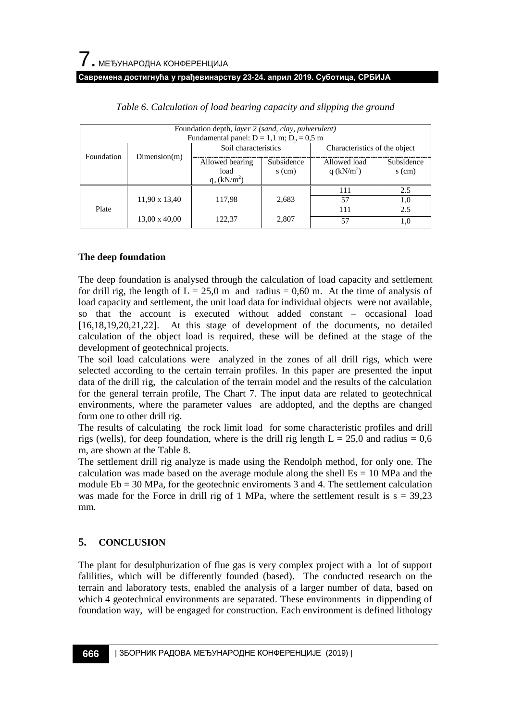|            | Foundation depth, layer 2 (sand, clay, pulverulent)<br>Fundamental panel: $D = 1, 1$ m; $D_n = 0.5$ m |                                                       |                        |                               |                        |  |  |  |  |  |
|------------|-------------------------------------------------------------------------------------------------------|-------------------------------------------------------|------------------------|-------------------------------|------------------------|--|--|--|--|--|
|            |                                                                                                       | Soil characteristics                                  |                        | Characteristics of the object |                        |  |  |  |  |  |
| Foundation | Dimension(m)                                                                                          | Allowed bearing<br>load<br>$q_a$ (kN/m <sup>2</sup> ) | Subsidence<br>$s$ (cm) | Allowed load<br>q $(kN/m^2)$  | Subsidence<br>$s$ (cm) |  |  |  |  |  |
|            |                                                                                                       |                                                       |                        | 111                           | 2.5                    |  |  |  |  |  |
|            | 11,90 x 13,40                                                                                         | 117,98                                                | 2,683                  | 57                            | 1,0                    |  |  |  |  |  |
| Plate      |                                                                                                       |                                                       |                        | 111                           | 2.5                    |  |  |  |  |  |
|            | 13,00 x 40,00                                                                                         | 122,37                                                | 2,807                  | 57                            | 1,0                    |  |  |  |  |  |

*Table 6. Calculation of load bearing capacity and slipping the ground*

### **The deep foundation**

The deep foundation is analysed through the calculation of load capacity and settlement for drill rig, the length of  $L = 25.0$  m and radius = 0.60 m. At the time of analysis of load capacity and settlement, the unit load data for individual objects were not available, so that the account is executed without added constant – occasional load [16,18,19,20,21,22]. At this stage of development of the documents, no detailed calculation of the object load is required, these will be defined at the stage of the development of geotechnical projects.

The soil load calculations were analyzed in the zones of all drill rigs, which were selected according to the certain terrain profiles. In this paper are presented the input data of the drill rig, the calculation of the terrain model and the results of the calculation for the general terrain profile, The Chart 7. The input data are related to geotechnical environments, where the parameter values are addopted, and the depths are changed form one to other drill rig.

The results of calculating the rock limit load for some characteristic profiles and drill rigs (wells), for deep foundation, where is the drill rig length  $L = 25.0$  and radius = 0.6 m, are shown at the Table 8.

The settlement drill rig analyze is made using the Rendolph method, for only one. The calculation was made based on the average module along the shell  $Es = 10$  MPa and the module  $Eb = 30 MPa$ , for the geotechnic enviroments 3 and 4. The settlement calculation was made for the Force in drill rig of 1 MPa, where the settlement result is  $s = 39,23$ mm.

### **5. CONCLUSION**

The plant for desulphurization of flue gas is very complex project with a lot of support falilities, which will be differently founded (based). The conducted research on the terrain and laboratory tests, enabled the analysis of a larger number of data, based on which 4 geotechnical environments are separated. These environments in dippending of foundation way, will be engaged for construction. Each environment is defined lithology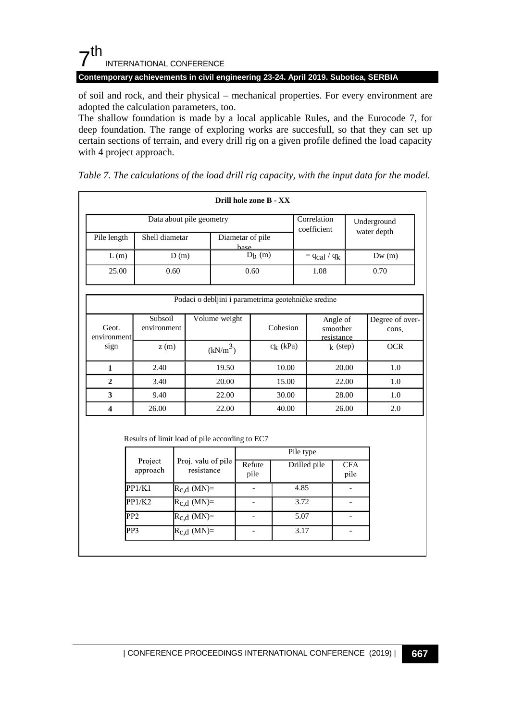**Contemporary achievements in civil engineering 23-24. April 2019. Subotica, SERBIA**

of soil and rock, and their physical – mechanical properties. For every environment are adopted the calculation parameters, too.

The shallow foundation is made by a local applicable Rules, and the Eurocode 7, for deep foundation. The range of exploring works are succesfull, so that they can set up certain sections of terrain, and every drill rig on a given profile defined the load capacity with 4 project approach.

|                      |                                                |                              |                                  | Drill hole zone B - XX   |              |                                                     |                          |                          |
|----------------------|------------------------------------------------|------------------------------|----------------------------------|--------------------------|--------------|-----------------------------------------------------|--------------------------|--------------------------|
|                      |                                                | Data about pile geometry     |                                  |                          |              | Correlation<br>coefficient                          |                          | Underground              |
| Pile length          | Shell diametar                                 |                              |                                  | Diametar of pile<br>hase |              |                                                     |                          | water depth              |
| L(m)                 |                                                | D(m)                         |                                  |                          | $Db$ (m)     | $=$ qcal $\frac{1}{q_k}$                            |                          | Dw(m)                    |
| 25.00                |                                                | 0.60                         |                                  | 0.60                     |              | 1.08                                                |                          | 0.70                     |
|                      |                                                |                              |                                  |                          |              | Podaci o debljini i parametrima geotehničke sredine |                          |                          |
| Geot.<br>environment | Subsoil<br>environment                         |                              | Volume weight                    |                          | Cohesion     | Angle of<br>smoother<br>resistance                  |                          | Degree of over-<br>cons. |
| sign                 |                                                | z(m)<br>(kN/m <sup>3</sup> ) |                                  |                          | $c_k$ (kPa)  | $k$ (step)                                          |                          | <b>OCR</b>               |
| $\mathbf{1}$         | 2.40                                           |                              | 19.50                            |                          | 10.00        |                                                     | 20.00                    | 1.0                      |
| $\overline{2}$       | 3.40                                           |                              | 20.00                            |                          | 15.00        |                                                     | 22.00                    | 1.0                      |
| 3                    | 9.40                                           |                              | 22.00                            |                          | 30.00        |                                                     | 28.00                    | 1.0                      |
| 4                    | 26.00                                          |                              | 22.00                            |                          | 40.00        | 26.00                                               |                          | 2.0                      |
|                      | Results of limit load of pile according to EC7 |                              |                                  |                          |              | Pile type                                           |                          |                          |
|                      | Project<br>approach                            |                              | Proj. valu of pile<br>resistance | Refute<br>pile           | Drilled pile |                                                     | $\overline{CFA}$<br>pile |                          |
|                      | PP1/K1                                         |                              | $R_{c,d}$ (MN)=                  | $\overline{a}$           |              | 4.85                                                |                          | $\overline{a}$           |
|                      | PP1/K2                                         |                              | $R_{c,d}$ (MN)=                  |                          |              | 3.72                                                |                          | ÷,                       |
|                      | PP <sub>2</sub>                                | $R_{c,d}$ (MN)=              |                                  | ÷,                       |              | 5.07                                                |                          | ÷,                       |
|                      | PP <sub>3</sub>                                | $R_{c,d}$ (MN)=              |                                  | ÷,                       |              | 3.17                                                | ÷,                       |                          |

*Table 7. The calculations of the load drill rig capacity, with the input data for the model.*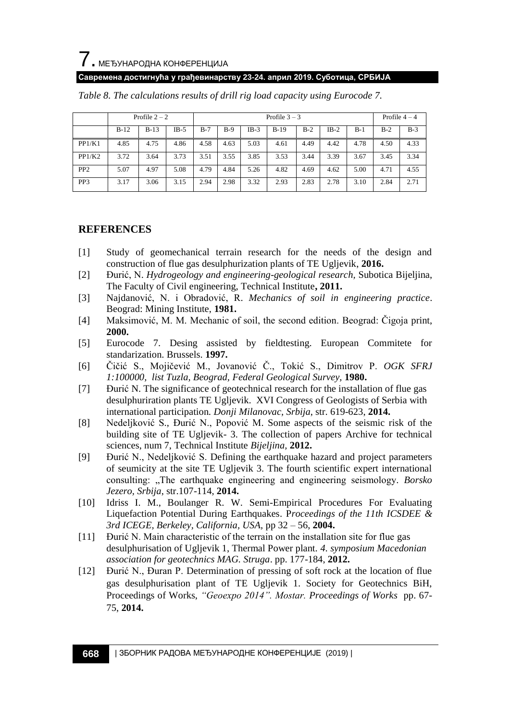

### **Савремена достигнућа у грађевинарству 23-24. април 2019. Суботица, СРБИЈА**

|                 |        | Profile $2 - 2$ |        | Profile $3 - 3$ |       |        |        |       |        | Profile $4-4$ |       |       |
|-----------------|--------|-----------------|--------|-----------------|-------|--------|--------|-------|--------|---------------|-------|-------|
|                 | $B-12$ | $B-13$          | $IB-5$ | $B-7$           | $B-9$ | $IB-3$ | $B-19$ | $B-2$ | $IB-2$ | $B-1$         | $B-2$ | $B-3$ |
| PP1/K1          | 4.85   | 4.75            | 4.86   | 4.58            | 4.63  | 5.03   | 4.61   | 4.49  | 4.42   | 4.78          | 4.50  | 4.33  |
| PP1/K2          | 3.72   | 3.64            | 3.73   | 3.51            | 3.55  | 3.85   | 3.53   | 3.44  | 3.39   | 3.67          | 3.45  | 3.34  |
| PP <sub>2</sub> | 5.07   | 4.97            | 5.08   | 4.79            | 4.84  | 5.26   | 4.82   | 4.69  | 4.62   | 5.00          | 4.71  | 4.55  |
| PP3             | 3.17   | 3.06            | 3.15   | 2.94            | 2.98  | 3.32   | 2.93   | 2.83  | 2.78   | 3.10          | 2.84  | 2.71  |

*Table 8. The calculations results of drill rig load capacity using Eurocode 7.*

### **REFERENCES**

- [1] Study of geomechanical terrain research for the needs of the design and construction of flue gas desulphurization plants of TE Ugljevik, **2016.**
- [2] Đurić, N. *Hydrogeology and engineering-geological research,* Subotica Bijeljina, The Faculty of Civil engineering, Technical Institute**, 2011.**
- [3] Najdanović, N. i Obradović, R. *Mechanics of soil in engineering practice*. Beograd: Mining Institute, **1981.**
- [4] Maksimović, M. M. Mechanic of soil, the second edition. Beograd: Ĉigoja print, **2000.**
- [5] Eurocode 7. Desing assisted by fieldtesting. European Commitete for standarization. Brussels. **1997.**
- [6] Ĉiĉić S., Mojiĉević M., Jovanović Ĉ., Tokić S., Dimitrov P. *OGK SFRJ 1:100000, list Tuzla, Beograd, Federal Geological Survey,* **1980.**
- [7] Đurić N. The significance of geotechnical research for the installation of flue gas desulphuriration plants TE Ugljevik. XVI Congress of Geologists of Serbia with international participation*. Donji Milanovac, Srbija*, str. 619-623, **2014.**
- [8] Nedeljković S., Đurić N., Popović M. Some aspects of the seismic risk of the building site of TE Ugljevik- 3. The collection of papers Archive for technical sciences, num 7, Technical Institute *Bijeljina,* **2012.**
- [9] Đurić N., Nedeljković S. Defining the earthquake hazard and project parameters of seumicity at the site TE Ugljevik 3. The fourth scientific expert international consulting: "The earthquake engineering and engineering seismology*. Borsko Jezero, Srbija*, str.107-114, **2014.**
- [10] Idriss I. M., Boulanger R. W. Semi-Empirical Procedures For Evaluating Liquefaction Potential During Earthquakes. P*roceedings of the 11th ICSDEE & 3rd ICEGE, Berkeley, California, USA,* pp 32 – 56, **2004.**
- [11] Đurić N. Main characteristic of the terrain on the installation site for flue gas desulphurisation of Ugljevik 1, Thermal Power plant. *4. symposium Macedonian association for geotechnics MAG. Struga*. pp. 177-184, **2012.**
- [12] Đurić N., Đuran P. Determination of pressing of soft rock at the location of flue gas desulphurisation plant of TE Ugljevik 1. Society for Geotechnics BiH, Proceedings of Works, *"Geoexpo 2014". Mostar. Proceedings of Works* pp. 67- 75, **2014.**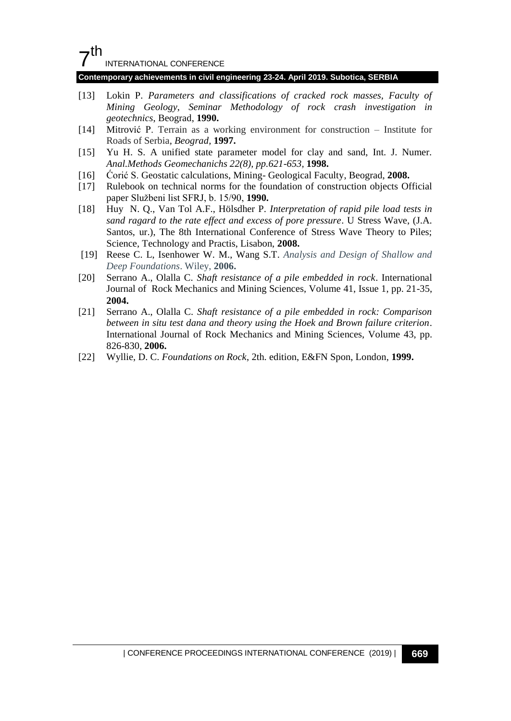# $7<sup>th</sup>$

INTERNATIONAL CONFERENCE

#### **Contemporary achievements in civil engineering 23-24. April 2019. Subotica, SERBIA**

- [13] Lokin P. *Parameters and classifications of cracked rock masses, Faculty of Mining Geology*, *Seminar Methodology of rock crash investigation in geotechnics*, Beograd, **1990.**
- [14] Mitrović P. Terrain as a working environment for construction Institute for Roads of Serbia*, Beograd,* **1997.**
- [15] Yu H. S. A unified state parameter model for clay and sand, Int. J. Numer. *Anal.Methods Geomechanichs 22(8), pp.621-653,* **1998.**
- [16] Ćorić S. Geostatic calculations, Mining- Geological Faculty, Beograd, **2008.**
- [17] Rulebook on technical norms for the foundation of construction objects Official paper Službeni list SFRJ, b. 15/90, **1990.**
- [18] Huy N. Q., Van Tol A.F., Hölsdher P. *Interpretation of rapid pile load tests in sand ragard to the rate effect and excess of pore pressure*. U Stress Wave, (J.A. Santos, ur.), The 8th International Conference of Stress Wave Theory to Piles; Science, Technology and Practis, Lisabon, **2008.**
- [19] Reese C. L, Isenhower W. M., Wang S.T. *Analysis and Design of Shallow and Deep Foundations*. Wiley, **2006.**
- [20] Serrano A., Olalla C. *Shaft resistance of a pile embedded in rock*. International Journal of Rock Mechanics and Mining Sciences, Volume 41, Issue 1, pp. 21-35, **2004.**
- [21] Serrano A., Olalla C. *Shaft resistance of a pile embedded in rock: Comparison between in situ test dana and theory using the Hoek and Brown failure criterion*. International Journal of Rock Mechanics and Mining Sciences, Volume 43, pp. 826-830, **2006.**
- [22] Wyllie, D. C. *Foundations on Rock*, 2th. edition, E&FN Spon, London, **1999.**